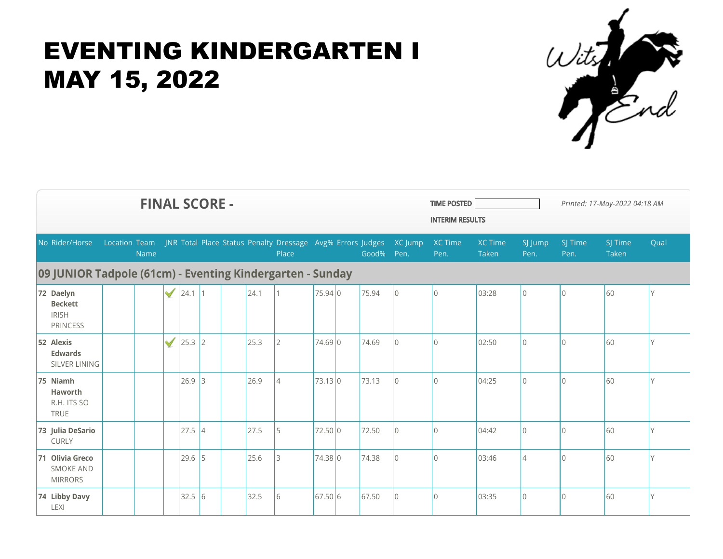

| <b>FINAL SCORE -</b>                                           |               |      |              |            |    |  |      |                                                                     |         |  |            |                |                 | <b>TIME POSTED</b><br>Printed: 17-May-2022 04:18 AM<br><b>INTERIM RESULTS</b> |                 |                 |                  |      |  |  |
|----------------------------------------------------------------|---------------|------|--------------|------------|----|--|------|---------------------------------------------------------------------|---------|--|------------|----------------|-----------------|-------------------------------------------------------------------------------|-----------------|-----------------|------------------|------|--|--|
| No Rider/Horse                                                 | Location Team | Name |              |            |    |  |      | JNR Total Place Status Penalty Dressage Avg% Errors Judges<br>Place |         |  | Good% Pen. | XC Jump        | XC Time<br>Pen. | <b>XC Time</b><br>Taken                                                       | SJ Jump<br>Pen. | SJ Time<br>Pen. | SJ Time<br>Taken | Qual |  |  |
| 09 JUNIOR Tadpole (61cm) - Eventing Kindergarten - Sunday      |               |      |              |            |    |  |      |                                                                     |         |  |            |                |                 |                                                                               |                 |                 |                  |      |  |  |
| 72 Daelyn<br><b>Beckett</b><br><b>IRISH</b><br><b>PRINCESS</b> |               |      | $\checkmark$ | $24.1$   1 |    |  | 24.1 |                                                                     | 75.94 0 |  | 75.94      | $\overline{0}$ | $\overline{0}$  | 03:28                                                                         | $\Omega$        | $\Omega$        | 60               | ٧    |  |  |
| 52 Alexis<br><b>Edwards</b><br>SILVER LINING                   |               |      | $\checkmark$ | $25.3$ 2   |    |  | 25.3 | 2                                                                   | 74.69 0 |  | 74.69      | $\overline{0}$ | $\overline{0}$  | 02:50                                                                         | $\Omega$        | $\mathbf 0$     | 60               | V    |  |  |
| 75 Niamh<br>Haworth<br>R.H. ITS SO<br><b>TRUE</b>              |               |      |              | $26.9$ 3   |    |  | 26.9 | $\vert 4$                                                           | 73.13 0 |  | 73.13      | $\overline{0}$ | $\overline{0}$  | 04:25                                                                         | $\mathbf 0$     | $\Omega$        | 60               | V    |  |  |
| 73 Julia DeSario<br><b>CURLY</b>                               |               |      |              | 27.5       | 4  |  | 27.5 | 5                                                                   | 72.50 0 |  | 72.50      | $\overline{0}$ | $\overline{0}$  | 04:42                                                                         | $\Omega$        | $\Omega$        | 60               | V    |  |  |
| 71 Olivia Greco<br><b>SMOKE AND</b><br><b>MIRRORS</b>          |               |      |              | $29.6$ 5   |    |  | 25.6 | l3                                                                  | 74.38 0 |  | 74.38      | $\overline{0}$ | $\overline{0}$  | 03:46                                                                         | $\overline{4}$  | $\Omega$        | 60               | ٧    |  |  |
| 74 Libby Davy<br><b>LEXI</b>                                   |               |      |              | 32.5       | 16 |  | 32.5 | 6                                                                   | 67.50 6 |  | 67.50      | $\overline{0}$ | $\overline{0}$  | 03:35                                                                         | $\Omega$        | $\Omega$        | 60               | V    |  |  |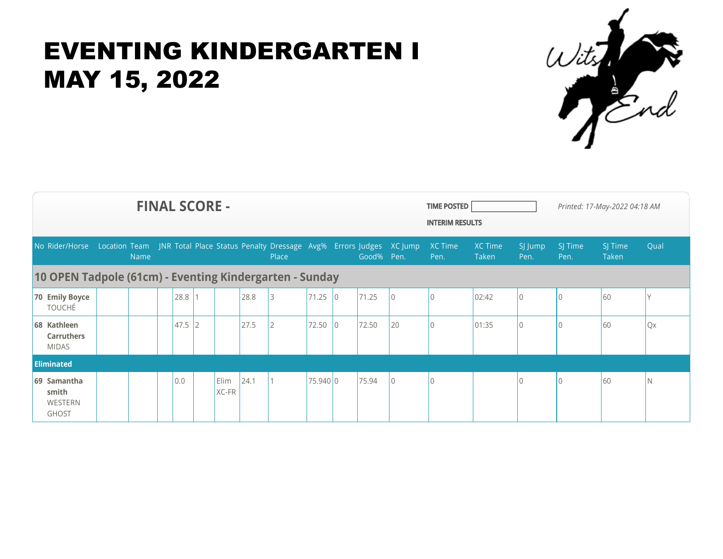

| <b>FINAL SCORE -</b>                                                                            |  |      |  |          |  |               |      |       |          |   |            |          |                 | <b>TIME POSTED</b><br>Printed: 17-May-2022 04:18 AM<br><b>INTERIM RESULTS</b> |                 |                 |                  |           |
|-------------------------------------------------------------------------------------------------|--|------|--|----------|--|---------------|------|-------|----------|---|------------|----------|-----------------|-------------------------------------------------------------------------------|-----------------|-----------------|------------------|-----------|
| No Rider/Horse Location Team JNR Total Place Status Penalty Dressage Avg% Errors Judges XC Jump |  | Name |  |          |  |               |      | Place |          |   | Good% Pen. |          | XC Time<br>Pen. | <b>XC Time</b><br>Taken                                                       | SJ Jump<br>Pen. | SJ Time<br>Pen. | SJ Time<br>Taken | Qual      |
| 10 OPEN Tadpole (61cm) - Eventing Kindergarten - Sunday                                         |  |      |  |          |  |               |      |       |          |   |            |          |                 |                                                                               |                 |                 |                  |           |
| 70 Emily Boyce<br><b>TOUCHÉ</b>                                                                 |  |      |  | 28.8     |  |               | 28.8 | 3     | 71.25    | 0 | 71.25      | 0        | $\overline{0}$  | 02:42                                                                         | 0               | l C             | 60               |           |
| 68 Kathleen<br><b>Carruthers</b><br><b>MIDAS</b>                                                |  |      |  | $47.5$ 2 |  |               | 27.5 | 2     | 72.50    |   | 72.50      | 20       | $\overline{0}$  | 01:35                                                                         | $\sqrt{ }$      |                 | 60               | <b>Qx</b> |
| <b>Eliminated</b>                                                                               |  |      |  |          |  |               |      |       |          |   |            |          |                 |                                                                               |                 |                 |                  |           |
| 69 Samantha<br>smith<br><b>WESTERN</b><br><b>GHOST</b>                                          |  |      |  | 0.0      |  | Elim<br>XC-FR | 24.1 |       | 75.940 0 |   | 75.94      | $\theta$ | $\bigcap$       |                                                                               |                 | $\Omega$        | 60               | N         |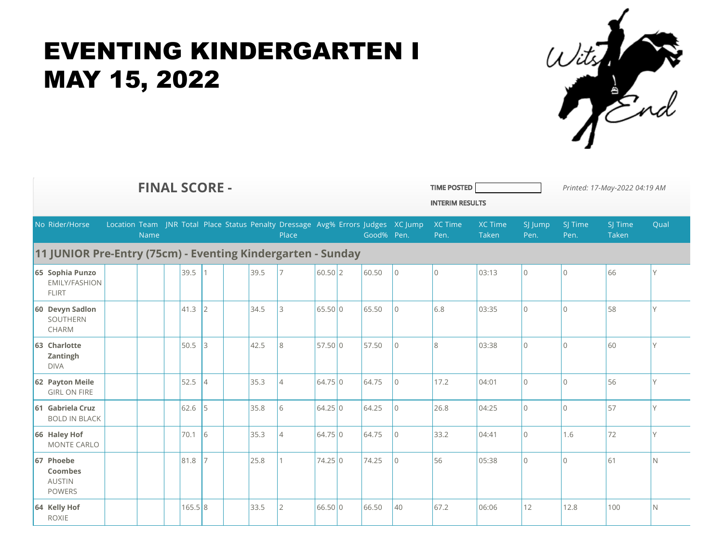

| <b>FINAL SCORE -</b>                                        |                                                         |  |      |  |        |                |                                                                                  |  |          |            |  |            |                | <b>TIME POSTED</b><br><b>INTERIM RESULTS</b> | Printed: 17-May-2022 04:19 AM  |                 |                 |                  |      |
|-------------------------------------------------------------|---------------------------------------------------------|--|------|--|--------|----------------|----------------------------------------------------------------------------------|--|----------|------------|--|------------|----------------|----------------------------------------------|--------------------------------|-----------------|-----------------|------------------|------|
|                                                             | No Rider/Horse                                          |  | Name |  |        |                | Location Team JNR Total Place Status Penalty Dressage Avg% Errors Judges XC Jump |  | Place    |            |  | Good% Pen. |                | <b>XC Time</b><br>Pen.                       | <b>XC Time</b><br><b>Taken</b> | SJ Jump<br>Pen. | SJ Time<br>Pen. | SJ Time<br>Taken | Qual |
| 11 JUNIOR Pre-Entry (75cm) - Eventing Kindergarten - Sunday |                                                         |  |      |  |        |                |                                                                                  |  |          |            |  |            |                |                                              |                                |                 |                 |                  |      |
|                                                             | 65 Sophia Punzo<br><b>EMILY/FASHION</b><br><b>FLIRT</b> |  |      |  | 39.5   |                | 39.5                                                                             |  |          | $60.50$  2 |  | 60.50      | l o            | $\bigcap$                                    | 03:13                          | $\overline{0}$  | $\Omega$        | 66               |      |
|                                                             | 60 Devyn Sadlon<br>SOUTHERN<br>CHARM                    |  |      |  | 41.3   | $\mathcal{P}$  | 34.5                                                                             |  | 3        | 65.50 0    |  | 65.50      | $\overline{0}$ | 6.8                                          | 03:35                          | $\Omega$        | $\overline{0}$  | 58               | Y    |
|                                                             | 63 Charlotte<br>Zantingh<br><b>DIVA</b>                 |  |      |  | 50.5   | 3              | 42.5                                                                             |  | 8        | 57.50 0    |  | 57.50      | $\overline{0}$ | 8                                            | 03:38                          | $\overline{0}$  | $\overline{0}$  | 60               | V    |
|                                                             | 62 Payton Meile<br><b>GIRL ON FIRE</b>                  |  |      |  | 52.5   | $\overline{4}$ | 35.3                                                                             |  | 14       | 64.75 0    |  | 64.75      | l0             | 17.2                                         | 04:01                          | $\overline{0}$  | $\overline{0}$  | 56               | V    |
|                                                             | 61 Gabriela Cruz<br><b>BOLD IN BLACK</b>                |  |      |  | 62.6   | 5              | 35.8                                                                             |  | 6        | 64.25 0    |  | 64.25      | l0             | 26.8                                         | 04:25                          | $\overline{0}$  | $\overline{0}$  | 57               | Y    |
|                                                             | 66 Haley Hof<br><b>MONTE CARLO</b>                      |  |      |  | 70.1   | 16             | 35.3                                                                             |  | 14       | 64.75 0    |  | 64.75      | l0             | 33.2                                         | 04:41                          | $\overline{0}$  | 1.6             | 72               | V    |
|                                                             | 67 Phoebe<br>Coombes<br><b>AUSTIN</b><br><b>POWERS</b>  |  |      |  | 81.8   |                | 25.8                                                                             |  |          | 74.25 0    |  | 74.25      | l o            | 56                                           | 05:38                          | $\overline{0}$  | $\overline{0}$  | 61               | N    |
|                                                             | 64 Kelly Hof<br><b>ROXIE</b>                            |  |      |  | 165.58 |                | 33.5                                                                             |  | <b>2</b> | 66.50 0    |  | 66.50      | 40             | 67.2                                         | 06:06                          | 12              | 12.8            | 100              | N.   |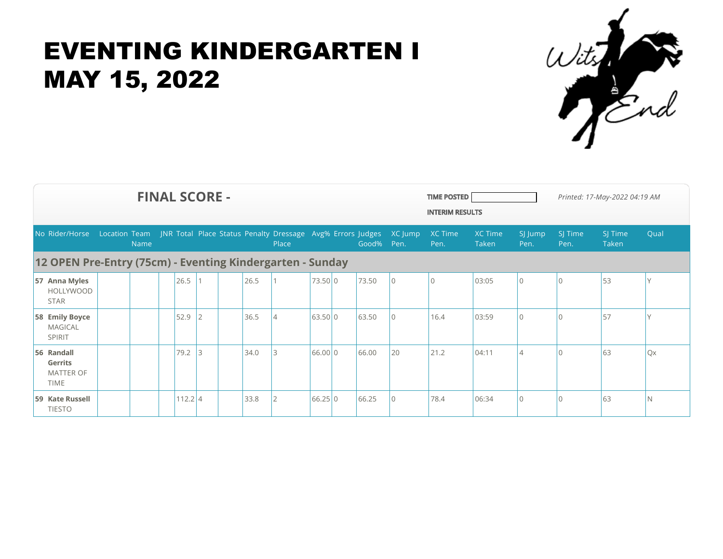

| <b>FINAL SCORE -</b><br><b>TIME POSTED</b>                      |  |      |  |           |   |  |      |                                                                                   |         |  |       |                 |                 | Printed: 17-May-2022 04:19 AM<br><b>INTERIM RESULTS</b> |                 |                 |                  |      |
|-----------------------------------------------------------------|--|------|--|-----------|---|--|------|-----------------------------------------------------------------------------------|---------|--|-------|-----------------|-----------------|---------------------------------------------------------|-----------------|-----------------|------------------|------|
| No Rider/Horse                                                  |  | Name |  |           |   |  |      | Location Team JNR Total Place Status Penalty Dressage Avg% Errors Judges<br>Place |         |  | Good% | XC Jump<br>Pen. | XC Time<br>Pen. | <b>XC Time</b><br>Taken                                 | SJ Jump<br>Pen. | SJ Time<br>Pen. | SJ Time<br>Taken | Qual |
| 12 OPEN Pre-Entry (75cm) - Eventing Kindergarten - Sunday       |  |      |  |           |   |  |      |                                                                                   |         |  |       |                 |                 |                                                         |                 |                 |                  |      |
| 57 Anna Myles<br><b>HOLLYWOOD</b><br><b>STAR</b>                |  |      |  | 26.5      |   |  | 26.5 |                                                                                   | 73.50 0 |  | 73.50 | $\Omega$        | 10              | 03:05                                                   | $\mathbf 0$     |                 | 53               | V    |
| 58 Emily Boyce<br><b>MAGICAL</b><br>SPIRIT                      |  |      |  | 52.9      |   |  | 36.5 | $\overline{A}$                                                                    | 63.50 0 |  | 63.50 | $\Omega$        | 16.4            | 03:59                                                   | $\Omega$        |                 | 57               |      |
| 56 Randall<br><b>Gerrits</b><br><b>MATTER OF</b><br><b>TIME</b> |  |      |  | 79.2      | 3 |  | 34.0 |                                                                                   | 66.00 0 |  | 66.00 | 20              | 21.2            | 04:11                                                   | 4               |                 | 63               | Qx   |
| 59 Kate Russell<br><b>TIESTO</b>                                |  |      |  | $112.2$ 4 |   |  | 33.8 |                                                                                   | 66.25 0 |  | 66.25 |                 | 78.4            | 06:34                                                   | $\Omega$        |                 | 63               | N    |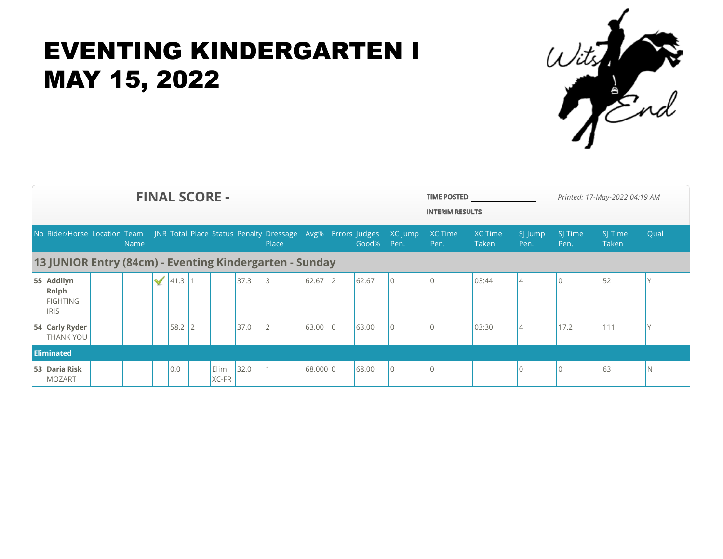

| <b>FINAL SCORE -</b>                                                                            |  |             |   |          |  |                      |         |                |          |                 |         |                |      | <b>TIME POSTED</b><br>Printed: 17-May-2022 04:19 AM<br><b>INTERIM RESULTS</b> |                |      |       |    |  |
|-------------------------------------------------------------------------------------------------|--|-------------|---|----------|--|----------------------|---------|----------------|----------|-----------------|---------|----------------|------|-------------------------------------------------------------------------------|----------------|------|-------|----|--|
| No Rider/Horse Location Team JNR Total Place Status Penalty Dressage Avg% Errors Judges XC Jump |  |             |   |          |  |                      | XC Time | <b>XC Time</b> | SJ Jump  | SJ Time         | SJ Time | Qual           |      |                                                                               |                |      |       |    |  |
|                                                                                                 |  | <b>Name</b> |   |          |  |                      |         | Place          |          |                 | Good%   | Pen.           | Pen. | Taken                                                                         | Pen.           | Pen. | Taken |    |  |
| 13 JUNIOR Entry (84cm) - Eventing Kindergarten - Sunday                                         |  |             |   |          |  |                      |         |                |          |                 |         |                |      |                                                                               |                |      |       |    |  |
| 55 Addilyn<br>Rolph<br><b>FIGHTING</b><br><b>IRIS</b>                                           |  |             | √ | 41.3     |  |                      | 37.3    |                | 62.67    |                 | 62.67   |                |      | 03:44                                                                         |                |      | 52    |    |  |
| 54 Carly Ryder<br>THANK YOU                                                                     |  |             |   | $58.2$ 2 |  |                      | 37.0    |                | 63.00    | $\overline{10}$ | 63.00   | $\Omega$       |      | 03:30                                                                         | $\overline{A}$ | 17.2 | 111   |    |  |
| <b>Eliminated</b>                                                                               |  |             |   |          |  |                      |         |                |          |                 |         |                |      |                                                                               |                |      |       |    |  |
| 53 Daria Risk<br><b>MOZART</b>                                                                  |  |             |   | 0.0      |  | <b>Elim</b><br>XC-FR | 32.0    |                | 68.000 0 |                 | 68.00   | $\overline{0}$ |      |                                                                               |                |      | 63    | N. |  |